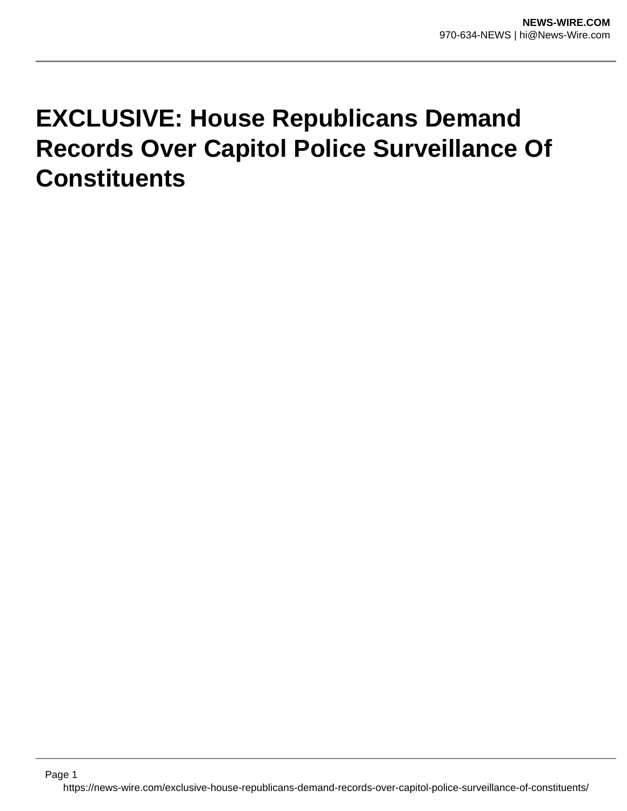## **EXCLUSIVE: House Republicans Demand Records Over Capitol Police Surveillance Of Constituents**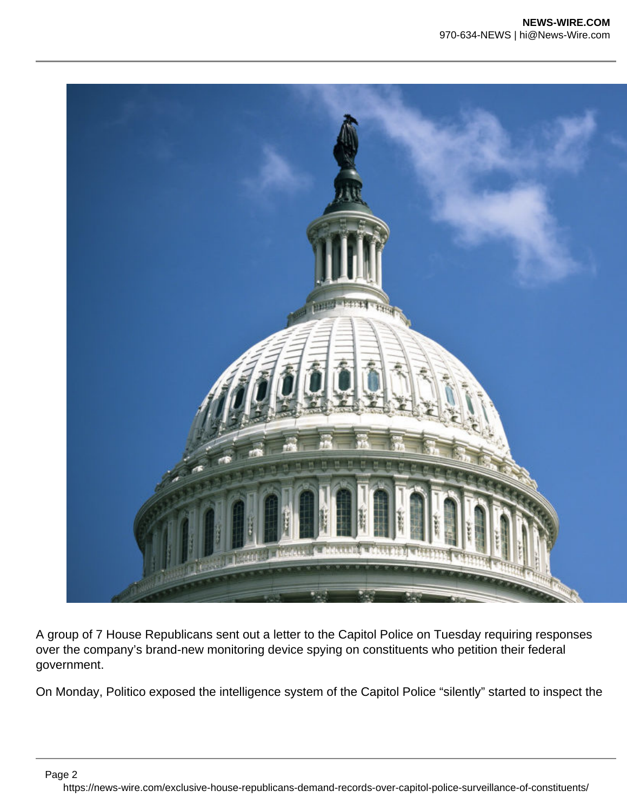

A group of 7 House Republicans sent out a letter to the Capitol Police on Tuesday requiring responses over the company's brand-new monitoring device spying on constituents who petition their federal government.

On Monday, Politico exposed the intelligence system of the Capitol Police "silently" started to inspect the

Page 2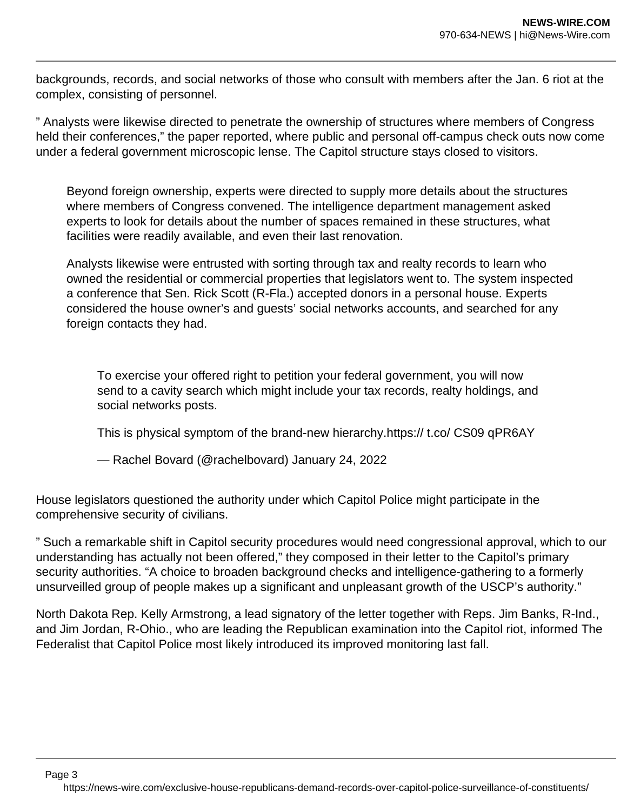backgrounds, records, and social networks of those who consult with members after the Jan. 6 riot at the complex, consisting of personnel.

" Analysts were likewise directed to penetrate the ownership of structures where members of Congress held their conferences," the paper reported, where public and personal off-campus check outs now come under a federal government microscopic lense. The Capitol structure stays closed to visitors.

Beyond foreign ownership, experts were directed to supply more details about the structures where members of Congress convened. The intelligence department management asked experts to look for details about the number of spaces remained in these structures, what facilities were readily available, and even their last renovation.

Analysts likewise were entrusted with sorting through tax and realty records to learn who owned the residential or commercial properties that legislators went to. The system inspected a conference that Sen. Rick Scott (R-Fla.) accepted donors in a personal house. Experts considered the house owner's and guests' social networks accounts, and searched for any foreign contacts they had.

To exercise your offered right to petition your federal government, you will now send to a cavity search which might include your tax records, realty holdings, and social networks posts.

This is physical symptom of the brand-new hierarchy.https:// t.co/ CS09 qPR6AY

— Rachel Bovard (@rachelbovard) January 24, 2022

House legislators questioned the authority under which Capitol Police might participate in the comprehensive security of civilians.

" Such a remarkable shift in Capitol security procedures would need congressional approval, which to our understanding has actually not been offered," they composed in their letter to the Capitol's primary security authorities. "A choice to broaden background checks and intelligence-gathering to a formerly unsurveilled group of people makes up a significant and unpleasant growth of the USCP's authority."

North Dakota Rep. Kelly Armstrong, a lead signatory of the letter together with Reps. Jim Banks, R-Ind., and Jim Jordan, R-Ohio., who are leading the Republican examination into the Capitol riot, informed The Federalist that Capitol Police most likely introduced its improved monitoring last fall.

Page 3